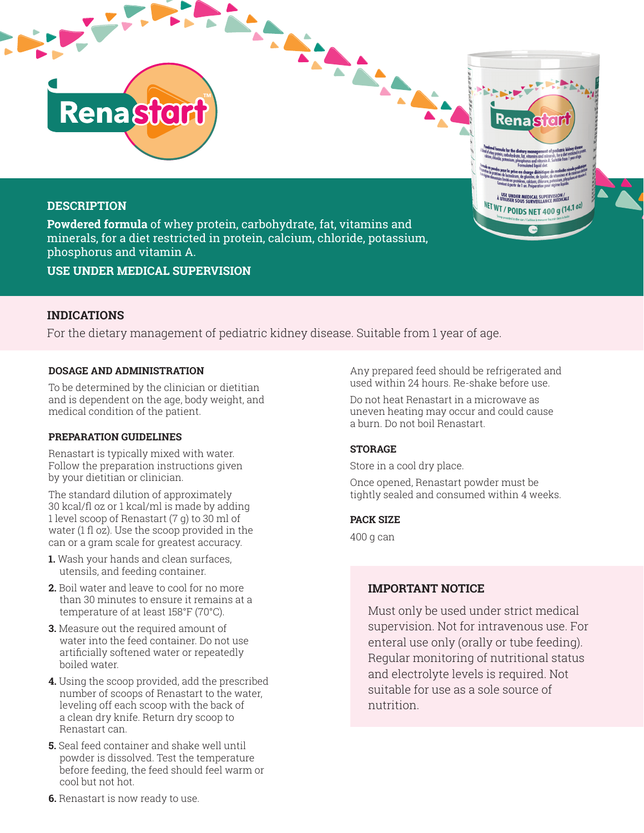# **DESCRIPTION**

**Powdered formula** of whey protein, carbohydrate, fat, vitamins and minerals, for a diet restricted in protein, calcium, chloride, potassium, phosphorus and vitamin A.

**USE UNDER MEDICAL SUPERVISION**

# **INDICATIONS**

For the dietary management of pediatric kidney disease. Suitable from 1 year of age.

**TMAN** 

### **DOSAGE AND ADMINISTRATION**

**Renastor** 

To be determined by the clinician or dietitian and is dependent on the age, body weight, and medical condition of the patient.

### **PREPARATION GUIDELINES**

Renastart is typically mixed with water. Follow the preparation instructions given by your dietitian or clinician.

The standard dilution of approximately 30 kcal/fl oz or 1 kcal/ml is made by adding 1 level scoop of Renastart (7 g) to 30 ml of water (1 fl oz). Use the scoop provided in the can or a gram scale for greatest accuracy.

- **1.** Wash your hands and clean surfaces, utensils, and feeding container.
- **2.** Boil water and leave to cool for no more than 30 minutes to ensure it remains at a temperature of at least 158°F (70°C).
- **3.** Measure out the required amount of water into the feed container. Do not use artificially softened water or repeatedly boiled water.
- **4.** Using the scoop provided, add the prescribed number of scoops of Renastart to the water, leveling off each scoop with the back of a clean dry knife. Return dry scoop to Renastart can.
- **5.** Seal feed container and shake well until powder is dissolved. Test the temperature before feeding, the feed should feel warm or cool but not hot.

Any prepared feed should be refrigerated and used within 24 hours. Re-shake before use.

N USE UNDER MEDICAL SUPERVISION /<br>A UTILISER SOLIS SURVEH LANCE MÉDICALE NET WT / POIDS NET 400 g (14.1 0z)

Do not heat Renastart in a microwave as uneven heating may occur and could cause a burn. Do not boil Renastart.

### **STORAGE**

Store in a cool dry place.

 $\mathbf{A}^{\mathbf{r}}$ 

Once opened, Renastart powder must be tightly sealed and consumed within 4 weeks.

### **PACK SIZE**

400 g can

# **IMPORTANT NOTICE**

Must only be used under strict medical supervision. Not for intravenous use. For enteral use only (orally or tube feeding). Regular monitoring of nutritional status and electrolyte levels is required. Not suitable for use as a sole source of nutrition.

**6.** Renastart is now ready to use.